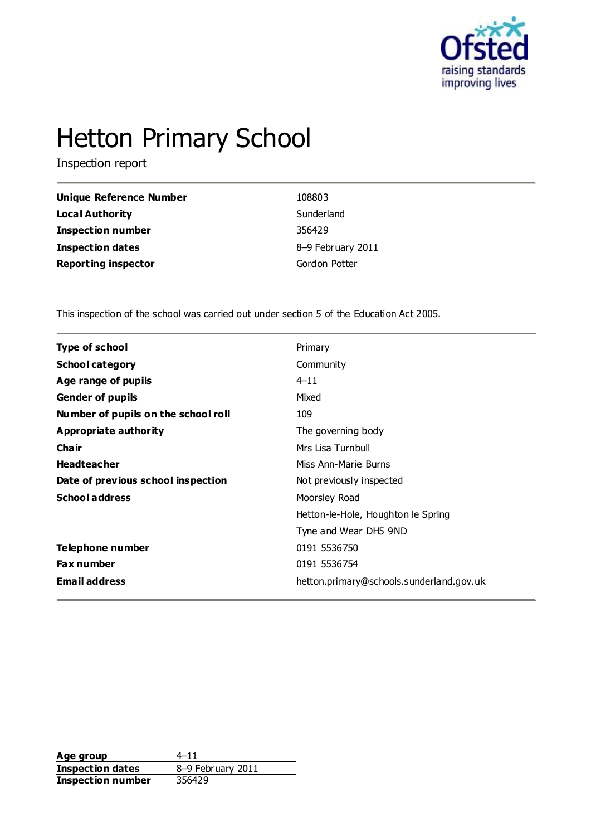

# Hetton Primary School

Inspection report

| Unique Reference Number    | 108803            |
|----------------------------|-------------------|
| Local Authority            | Sunderland        |
| <b>Inspection number</b>   | 356429            |
| Inspection dates           | 8-9 February 2011 |
| <b>Reporting inspector</b> | Gordon Potter     |

This inspection of the school was carried out under section 5 of the Education Act 2005.

| <b>Type of school</b>               | Primary                                  |
|-------------------------------------|------------------------------------------|
| <b>School category</b>              | Community                                |
| Age range of pupils                 | $4 - 11$                                 |
| <b>Gender of pupils</b>             | Mixed                                    |
| Number of pupils on the school roll | 109                                      |
| Appropriate authority               | The governing body                       |
| Cha ir                              | Mrs Lisa Turnbull                        |
| <b>Headteacher</b>                  | Miss Ann-Marie Burns                     |
| Date of previous school inspection  | Not previously inspected                 |
| <b>School address</b>               | Moorsley Road                            |
|                                     | Hetton-le-Hole, Houghton le Spring       |
|                                     | Tyne and Wear DH5 9ND                    |
| Telephone number                    | 0191 5536750                             |
| <b>Fax number</b>                   | 0191 5536754                             |
| <b>Email address</b>                | hetton.primary@schools.sunderland.gov.uk |
|                                     |                                          |

**Age group**  $4-11$ <br> **Inspection dates**  $8-9$  February 2011 **Inspection dates Inspection number** 356429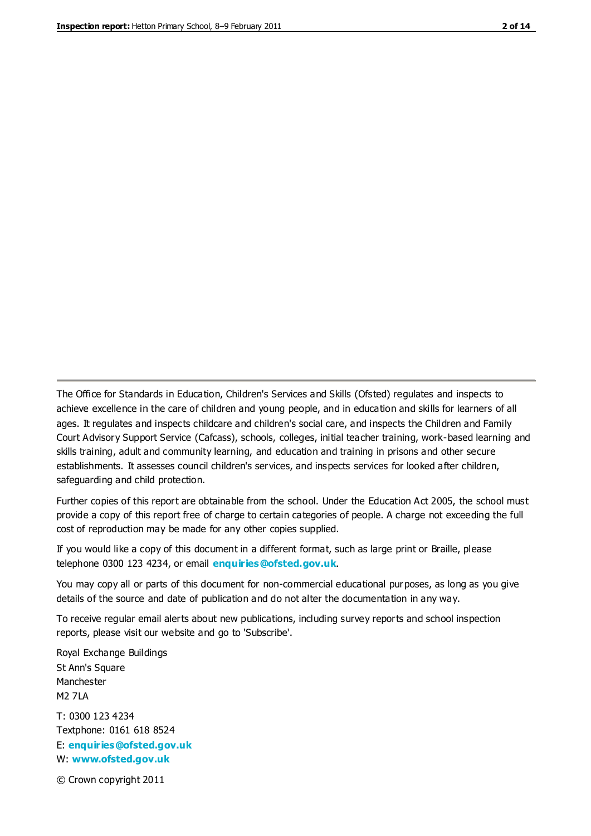The Office for Standards in Education, Children's Services and Skills (Ofsted) regulates and inspects to achieve excellence in the care of children and young people, and in education and skills for learners of all ages. It regulates and inspects childcare and children's social care, and inspects the Children and Family Court Advisory Support Service (Cafcass), schools, colleges, initial teacher training, work-based learning and skills training, adult and community learning, and education and training in prisons and other secure establishments. It assesses council children's services, and inspects services for looked after children, safeguarding and child protection.

Further copies of this report are obtainable from the school. Under the Education Act 2005, the school must provide a copy of this report free of charge to certain categories of people. A charge not exceeding the full cost of reproduction may be made for any other copies supplied.

If you would like a copy of this document in a different format, such as large print or Braille, please telephone 0300 123 4234, or email **[enquiries@ofsted.gov.uk](mailto:enquiries@ofsted.gov.uk)**.

You may copy all or parts of this document for non-commercial educational purposes, as long as you give details of the source and date of publication and do not alter the documentation in any way.

To receive regular email alerts about new publications, including survey reports and school inspection reports, please visit our website and go to 'Subscribe'.

Royal Exchange Buildings St Ann's Square Manchester M2 7LA T: 0300 123 4234 Textphone: 0161 618 8524 E: **[enquiries@ofsted.gov.uk](mailto:enquiries@ofsted.gov.uk)**

W: **[www.ofsted.gov.uk](http://www.ofsted.gov.uk/)**

© Crown copyright 2011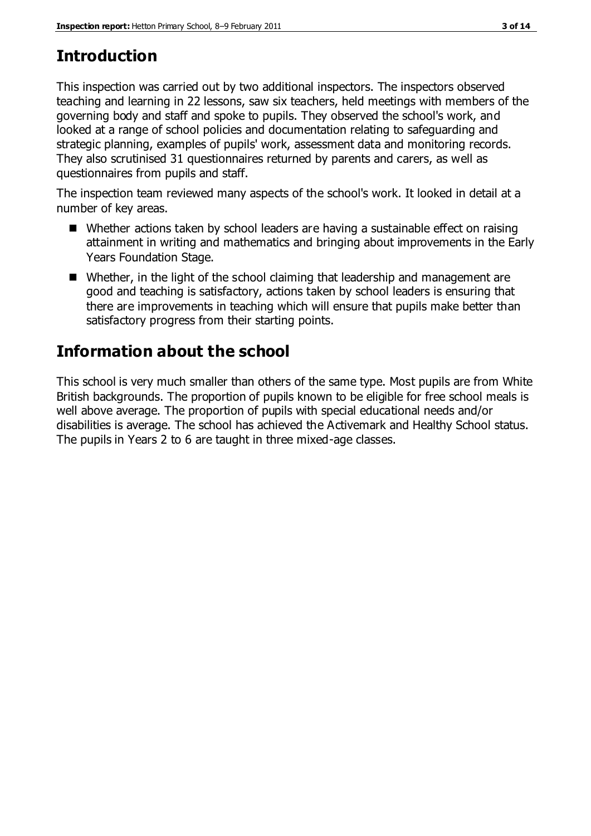## **Introduction**

This inspection was carried out by two additional inspectors. The inspectors observed teaching and learning in 22 lessons, saw six teachers, held meetings with members of the governing body and staff and spoke to pupils. They observed the school's work, and looked at a range of school policies and documentation relating to safeguarding and strategic planning, examples of pupils' work, assessment data and monitoring records. They also scrutinised 31 questionnaires returned by parents and carers, as well as questionnaires from pupils and staff.

The inspection team reviewed many aspects of the school's work. It looked in detail at a number of key areas.

- Whether actions taken by school leaders are having a sustainable effect on raising attainment in writing and mathematics and bringing about improvements in the Early Years Foundation Stage.
- Whether, in the light of the school claiming that leadership and management are good and teaching is satisfactory, actions taken by school leaders is ensuring that there are improvements in teaching which will ensure that pupils make better than satisfactory progress from their starting points.

## **Information about the school**

This school is very much smaller than others of the same type. Most pupils are from White British backgrounds. The proportion of pupils known to be eligible for free school meals is well above average. The proportion of pupils with special educational needs and/or disabilities is average. The school has achieved the Activemark and Healthy School status. The pupils in Years 2 to 6 are taught in three mixed-age classes.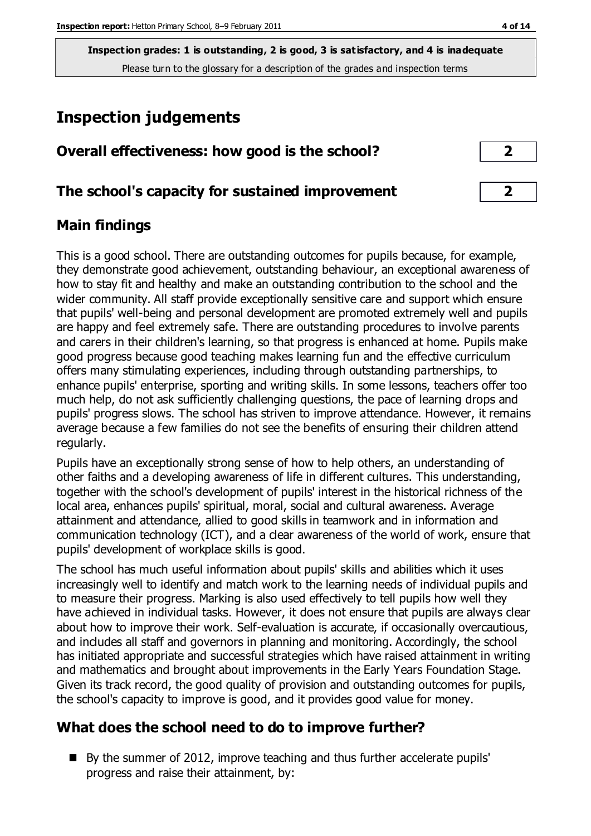## **Inspection judgements**

| Overall effectiveness: how good is the school? |  |
|------------------------------------------------|--|
|------------------------------------------------|--|

#### **The school's capacity for sustained improvement 2**

#### **Main findings**

This is a good school. There are outstanding outcomes for pupils because, for example, they demonstrate good achievement, outstanding behaviour, an exceptional awareness of how to stay fit and healthy and make an outstanding contribution to the school and the wider community. All staff provide exceptionally sensitive care and support which ensure that pupils' well-being and personal development are promoted extremely well and pupils are happy and feel extremely safe. There are outstanding procedures to involve parents and carers in their children's learning, so that progress is enhanced at home. Pupils make good progress because good teaching makes learning fun and the effective curriculum offers many stimulating experiences, including through outstanding partnerships, to enhance pupils' enterprise, sporting and writing skills. In some lessons, teachers offer too much help, do not ask sufficiently challenging questions, the pace of learning drops and pupils' progress slows. The school has striven to improve attendance. However, it remains average because a few families do not see the benefits of ensuring their children attend regularly.

Pupils have an exceptionally strong sense of how to help others, an understanding of other faiths and a developing awareness of life in different cultures. This understanding, together with the school's development of pupils' interest in the historical richness of the local area, enhances pupils' spiritual, moral, social and cultural awareness. Average attainment and attendance, allied to good skills in teamwork and in information and communication technology (ICT), and a clear awareness of the world of work, ensure that pupils' development of workplace skills is good.

The school has much useful information about pupils' skills and abilities which it uses increasingly well to identify and match work to the learning needs of individual pupils and to measure their progress. Marking is also used effectively to tell pupils how well they have achieved in individual tasks. However, it does not ensure that pupils are always clear about how to improve their work. Self-evaluation is accurate, if occasionally overcautious, and includes all staff and governors in planning and monitoring. Accordingly, the school has initiated appropriate and successful strategies which have raised attainment in writing and mathematics and brought about improvements in the Early Years Foundation Stage. Given its track record, the good quality of provision and outstanding outcomes for pupils, the school's capacity to improve is good, and it provides good value for money.

#### **What does the school need to do to improve further?**

By the summer of 2012, improve teaching and thus further accelerate pupils' progress and raise their attainment, by: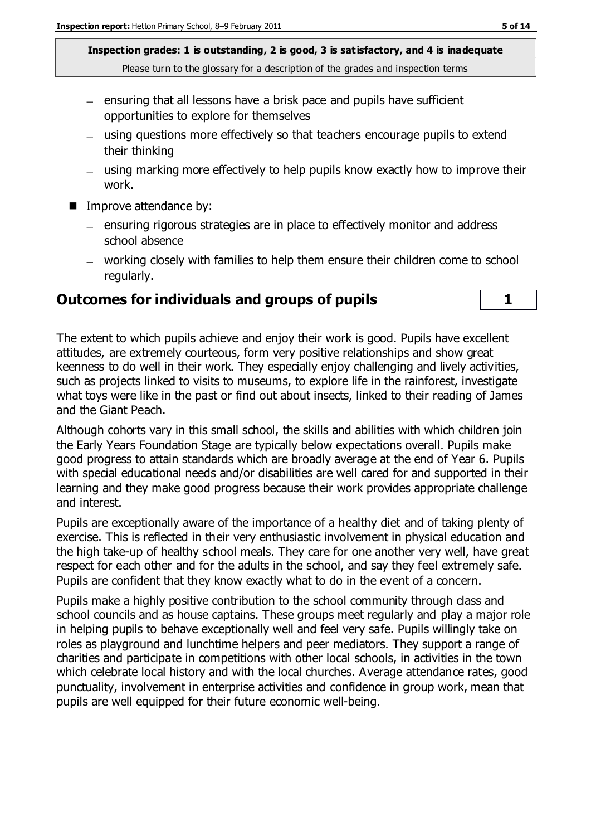- $=$  ensuring that all lessons have a brisk pace and pupils have sufficient opportunities to explore for themselves
- using questions more effectively so that teachers encourage pupils to extend their thinking
- using marking more effectively to help pupils know exactly how to improve their work.
- Improve attendance by:
	- ensuring rigorous strategies are in place to effectively monitor and address school absence
	- working closely with families to help them ensure their children come to school regularly.

### **Outcomes for individuals and groups of pupils 1**

The extent to which pupils achieve and enjoy their work is good. Pupils have excellent attitudes, are extremely courteous, form very positive relationships and show great keenness to do well in their work. They especially enjoy challenging and lively activities, such as projects linked to visits to museums, to explore life in the rainforest, investigate what toys were like in the past or find out about insects, linked to their reading of James and the Giant Peach.

Although cohorts vary in this small school, the skills and abilities with which children join the Early Years Foundation Stage are typically below expectations overall. Pupils make good progress to attain standards which are broadly average at the end of Year 6. Pupils with special educational needs and/or disabilities are well cared for and supported in their learning and they make good progress because their work provides appropriate challenge and interest.

Pupils are exceptionally aware of the importance of a healthy diet and of taking plenty of exercise. This is reflected in their very enthusiastic involvement in physical education and the high take-up of healthy school meals. They care for one another very well, have great respect for each other and for the adults in the school, and say they feel extremely safe. Pupils are confident that they know exactly what to do in the event of a concern.

Pupils make a highly positive contribution to the school community through class and school councils and as house captains. These groups meet regularly and play a major role in helping pupils to behave exceptionally well and feel very safe. Pupils willingly take on roles as playground and lunchtime helpers and peer mediators. They support a range of charities and participate in competitions with other local schools, in activities in the town which celebrate local history and with the local churches. Average attendance rates, good punctuality, involvement in enterprise activities and confidence in group work, mean that pupils are well equipped for their future economic well-being.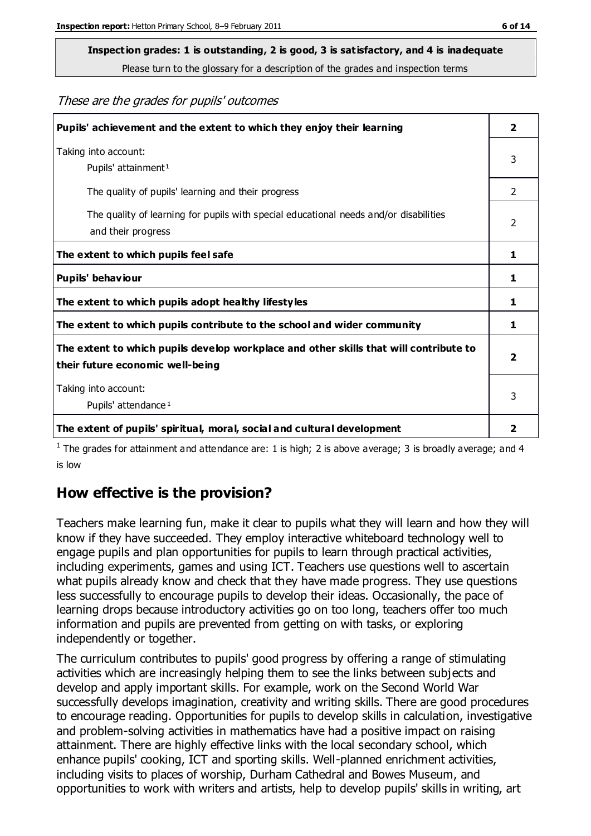# **Inspection grades: 1 is outstanding, 2 is good, 3 is satisfactory, and 4 is inadequate**

Please turn to the glossary for a description of the grades and inspection terms

#### These are the grades for pupils' outcomes

| Pupils' achievement and the extent to which they enjoy their learning                                                     | $\overline{2}$          |
|---------------------------------------------------------------------------------------------------------------------------|-------------------------|
| Taking into account:<br>Pupils' attainment <sup>1</sup>                                                                   | 3                       |
| The quality of pupils' learning and their progress                                                                        | 2                       |
| The quality of learning for pupils with special educational needs and/or disabilities<br>and their progress               | $\mathcal{P}$           |
| The extent to which pupils feel safe                                                                                      | 1                       |
| Pupils' behaviour                                                                                                         | 1                       |
| The extent to which pupils adopt healthy lifestyles                                                                       | 1                       |
| The extent to which pupils contribute to the school and wider community                                                   | 1                       |
| The extent to which pupils develop workplace and other skills that will contribute to<br>their future economic well-being | $\overline{\mathbf{2}}$ |
| Taking into account:<br>Pupils' attendance <sup>1</sup>                                                                   | 3                       |
| The extent of pupils' spiritual, moral, social and cultural development                                                   | $\overline{2}$          |

<sup>1</sup> The grades for attainment and attendance are: 1 is high; 2 is above average; 3 is broadly average; and 4 is low

#### **How effective is the provision?**

Teachers make learning fun, make it clear to pupils what they will learn and how they will know if they have succeeded. They employ interactive whiteboard technology well to engage pupils and plan opportunities for pupils to learn through practical activities, including experiments, games and using ICT. Teachers use questions well to ascertain what pupils already know and check that they have made progress. They use questions less successfully to encourage pupils to develop their ideas. Occasionally, the pace of learning drops because introductory activities go on too long, teachers offer too much information and pupils are prevented from getting on with tasks, or exploring independently or together.

The curriculum contributes to pupils' good progress by offering a range of stimulating activities which are increasingly helping them to see the links between subjects and develop and apply important skills. For example, work on the Second World War successfully develops imagination, creativity and writing skills. There are good procedures to encourage reading. Opportunities for pupils to develop skills in calculation, investigative and problem-solving activities in mathematics have had a positive impact on raising attainment. There are highly effective links with the local secondary school, which enhance pupils' cooking, ICT and sporting skills. Well-planned enrichment activities, including visits to places of worship, Durham Cathedral and Bowes Museum, and opportunities to work with writers and artists, help to develop pupils' skills in writing, art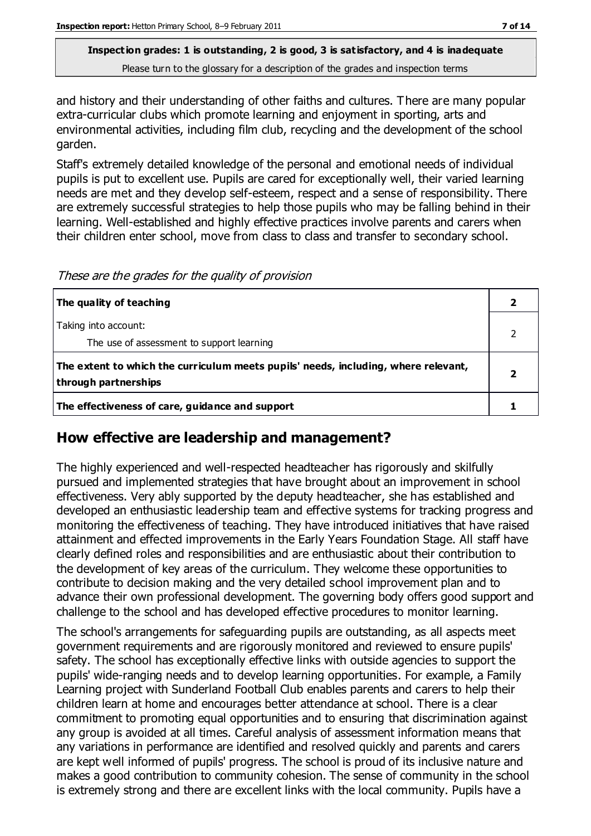and history and their understanding of other faiths and cultures. There are many popular extra-curricular clubs which promote learning and enjoyment in sporting, arts and environmental activities, including film club, recycling and the development of the school garden.

Staff's extremely detailed knowledge of the personal and emotional needs of individual pupils is put to excellent use. Pupils are cared for exceptionally well, their varied learning needs are met and they develop self-esteem, respect and a sense of responsibility. There are extremely successful strategies to help those pupils who may be falling behind in their learning. Well-established and highly effective practices involve parents and carers when their children enter school, move from class to class and transfer to secondary school.

These are the grades for the quality of provision

| The quality of teaching                                                                                    |  |
|------------------------------------------------------------------------------------------------------------|--|
| Taking into account:<br>The use of assessment to support learning                                          |  |
| The extent to which the curriculum meets pupils' needs, including, where relevant,<br>through partnerships |  |
| The effectiveness of care, guidance and support                                                            |  |

#### **How effective are leadership and management?**

The highly experienced and well-respected headteacher has rigorously and skilfully pursued and implemented strategies that have brought about an improvement in school effectiveness. Very ably supported by the deputy headteacher, she has established and developed an enthusiastic leadership team and effective systems for tracking progress and monitoring the effectiveness of teaching. They have introduced initiatives that have raised attainment and effected improvements in the Early Years Foundation Stage. All staff have clearly defined roles and responsibilities and are enthusiastic about their contribution to the development of key areas of the curriculum. They welcome these opportunities to contribute to decision making and the very detailed school improvement plan and to advance their own professional development. The governing body offers good support and challenge to the school and has developed effective procedures to monitor learning.

The school's arrangements for safeguarding pupils are outstanding, as all aspects meet government requirements and are rigorously monitored and reviewed to ensure pupils' safety. The school has exceptionally effective links with outside agencies to support the pupils' wide-ranging needs and to develop learning opportunities. For example, a Family Learning project with Sunderland Football Club enables parents and carers to help their children learn at home and encourages better attendance at school. There is a clear commitment to promoting equal opportunities and to ensuring that discrimination against any group is avoided at all times. Careful analysis of assessment information means that any variations in performance are identified and resolved quickly and parents and carers are kept well informed of pupils' progress. The school is proud of its inclusive nature and makes a good contribution to community cohesion. The sense of community in the school is extremely strong and there are excellent links with the local community. Pupils have a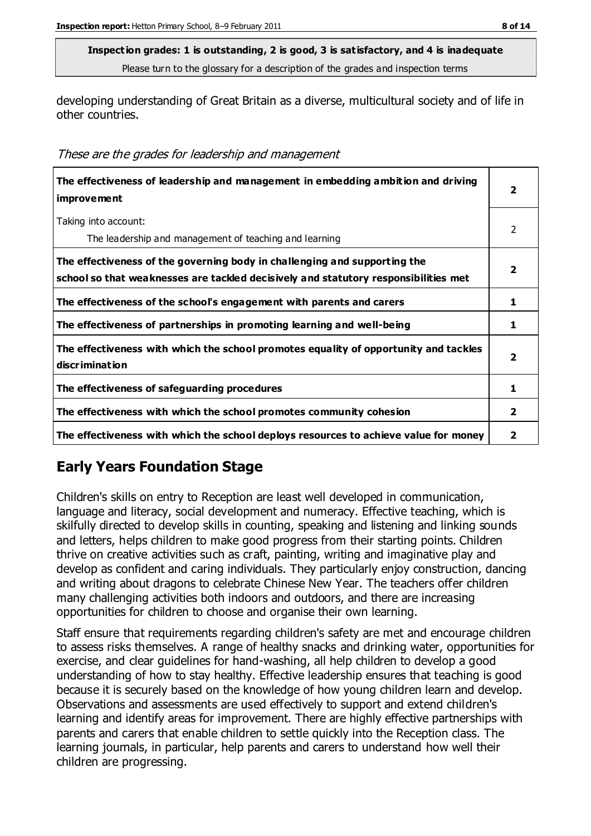developing understanding of Great Britain as a diverse, multicultural society and of life in other countries.

| These are the grades for leadership and management |  |  |
|----------------------------------------------------|--|--|
|----------------------------------------------------|--|--|

| The effectiveness of leadership and management in embedding ambition and driving<br><i>improvement</i>                                                           | 2                       |
|------------------------------------------------------------------------------------------------------------------------------------------------------------------|-------------------------|
| Taking into account:<br>The leadership and management of teaching and learning                                                                                   | 2                       |
| The effectiveness of the governing body in challenging and supporting the<br>school so that weaknesses are tackled decisively and statutory responsibilities met | 2                       |
| The effectiveness of the school's engagement with parents and carers                                                                                             | 1                       |
| The effectiveness of partnerships in promoting learning and well-being                                                                                           | 1                       |
| The effectiveness with which the school promotes equality of opportunity and tackles<br>discrimination                                                           | $\overline{\mathbf{2}}$ |
| The effectiveness of safeguarding procedures                                                                                                                     | 1                       |
| The effectiveness with which the school promotes community cohesion                                                                                              | $\mathbf{2}$            |
| The effectiveness with which the school deploys resources to achieve value for money                                                                             | 2                       |

## **Early Years Foundation Stage**

Children's skills on entry to Reception are least well developed in communication, language and literacy, social development and numeracy. Effective teaching, which is skilfully directed to develop skills in counting, speaking and listening and linking sounds and letters, helps children to make good progress from their starting points. Children thrive on creative activities such as craft, painting, writing and imaginative play and develop as confident and caring individuals. They particularly enjoy construction, dancing and writing about dragons to celebrate Chinese New Year. The teachers offer children many challenging activities both indoors and outdoors, and there are increasing opportunities for children to choose and organise their own learning.

Staff ensure that requirements regarding children's safety are met and encourage children to assess risks themselves. A range of healthy snacks and drinking water, opportunities for exercise, and clear guidelines for hand-washing, all help children to develop a good understanding of how to stay healthy. Effective leadership ensures that teaching is good because it is securely based on the knowledge of how young children learn and develop. Observations and assessments are used effectively to support and extend children's learning and identify areas for improvement. There are highly effective partnerships with parents and carers that enable children to settle quickly into the Reception class. The learning journals, in particular, help parents and carers to understand how well their children are progressing.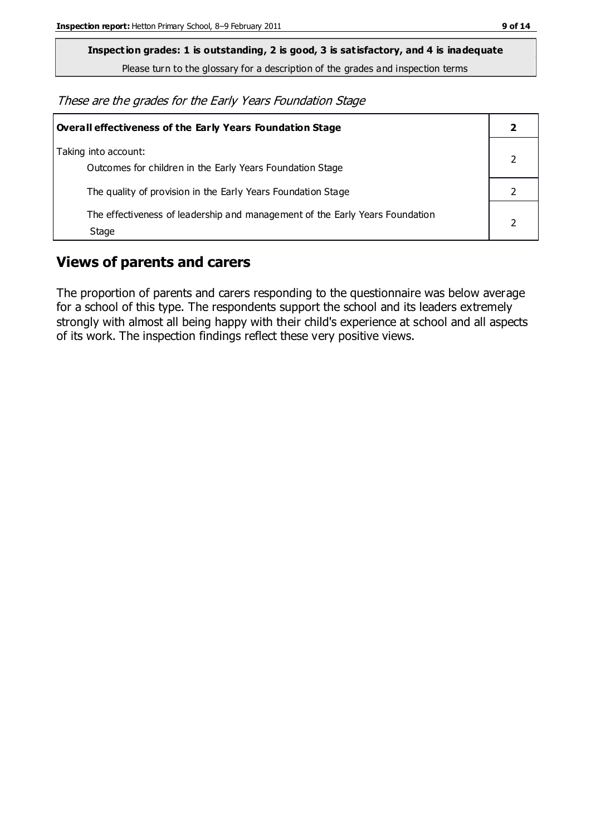**Inspection grades: 1 is outstanding, 2 is good, 3 is satisfactory, and 4 is inadequate**

Please turn to the glossary for a description of the grades and inspection terms

These are the grades for the Early Years Foundation Stage

| Overall effectiveness of the Early Years Foundation Stage                             |  |
|---------------------------------------------------------------------------------------|--|
| Taking into account:<br>Outcomes for children in the Early Years Foundation Stage     |  |
| The quality of provision in the Early Years Foundation Stage                          |  |
| The effectiveness of leadership and management of the Early Years Foundation<br>Stage |  |

#### **Views of parents and carers**

The proportion of parents and carers responding to the questionnaire was below average for a school of this type. The respondents support the school and its leaders extremely strongly with almost all being happy with their child's experience at school and all aspects of its work. The inspection findings reflect these very positive views.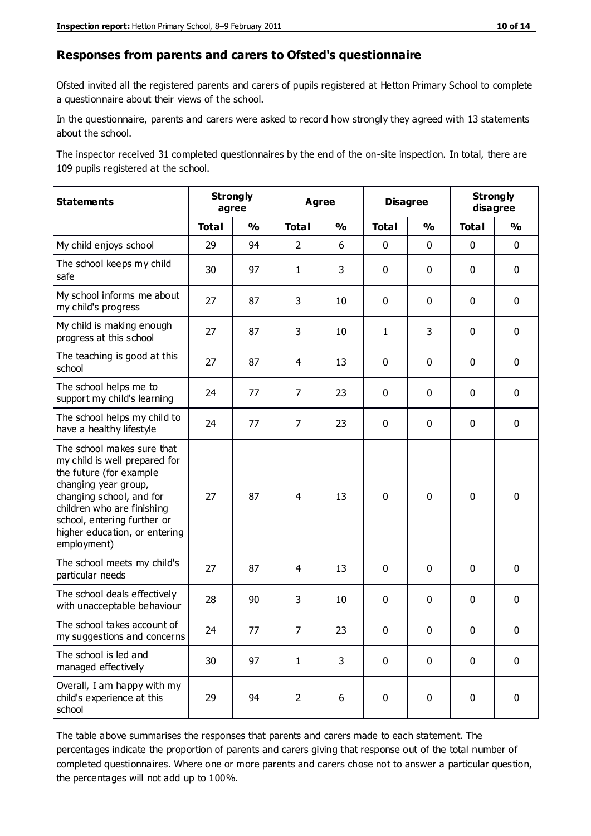#### **Responses from parents and carers to Ofsted's questionnaire**

Ofsted invited all the registered parents and carers of pupils registered at Hetton Primary School to complete a questionnaire about their views of the school.

In the questionnaire, parents and carers were asked to record how strongly they agreed with 13 statements about the school.

The inspector received 31 completed questionnaires by the end of the on-site inspection. In total, there are 109 pupils registered at the school.

| <b>Statements</b>                                                                                                                                                                                                                                       | <b>Strongly</b><br>agree |               | Agree          |               | <b>Disagree</b> |               | <b>Strongly</b><br>disagree |               |
|---------------------------------------------------------------------------------------------------------------------------------------------------------------------------------------------------------------------------------------------------------|--------------------------|---------------|----------------|---------------|-----------------|---------------|-----------------------------|---------------|
|                                                                                                                                                                                                                                                         | <b>Total</b>             | $\frac{1}{2}$ | <b>Total</b>   | $\frac{0}{0}$ | <b>Total</b>    | $\frac{0}{0}$ | <b>Total</b>                | $\frac{0}{0}$ |
| My child enjoys school                                                                                                                                                                                                                                  | 29                       | 94            | $\overline{2}$ | 6             | 0               | $\mathbf 0$   | $\mathbf 0$                 | $\mathbf 0$   |
| The school keeps my child<br>safe                                                                                                                                                                                                                       | 30                       | 97            | $\mathbf{1}$   | 3             | 0               | $\mathbf 0$   | $\mathbf 0$                 | $\mathbf 0$   |
| My school informs me about<br>my child's progress                                                                                                                                                                                                       | 27                       | 87            | 3              | 10            | 0               | $\mathbf{0}$  | $\mathbf 0$                 | $\mathbf 0$   |
| My child is making enough<br>progress at this school                                                                                                                                                                                                    | 27                       | 87            | 3              | 10            | $\mathbf{1}$    | 3             | $\mathbf 0$                 | $\mathbf 0$   |
| The teaching is good at this<br>school                                                                                                                                                                                                                  | 27                       | 87            | 4              | 13            | 0               | $\mathbf 0$   | 0                           | $\mathbf 0$   |
| The school helps me to<br>support my child's learning                                                                                                                                                                                                   | 24                       | 77            | $\overline{7}$ | 23            | 0               | $\mathbf{0}$  | $\mathbf 0$                 | $\mathbf 0$   |
| The school helps my child to<br>have a healthy lifestyle                                                                                                                                                                                                | 24                       | 77            | $\overline{7}$ | 23            | 0               | $\mathbf 0$   | $\mathbf 0$                 | $\mathbf 0$   |
| The school makes sure that<br>my child is well prepared for<br>the future (for example<br>changing year group,<br>changing school, and for<br>children who are finishing<br>school, entering further or<br>higher education, or entering<br>employment) | 27                       | 87            | 4              | 13            | $\mathbf 0$     | $\mathbf 0$   | $\mathbf 0$                 | $\mathbf 0$   |
| The school meets my child's<br>particular needs                                                                                                                                                                                                         | 27                       | 87            | $\overline{4}$ | 13            | $\pmb{0}$       | $\mathbf 0$   | $\mathbf 0$                 | $\mathbf 0$   |
| The school deals effectively<br>with unacceptable behaviour                                                                                                                                                                                             | 28                       | 90            | 3              | 10            | 0               | $\mathbf 0$   | $\mathbf 0$                 | $\mathbf 0$   |
| The school takes account of<br>my suggestions and concerns                                                                                                                                                                                              | 24                       | 77            | 7              | 23            | 0               | $\mathbf{0}$  | $\mathbf 0$                 | $\mathbf{0}$  |
| The school is led and<br>managed effectively                                                                                                                                                                                                            | 30                       | 97            | $\mathbf{1}$   | 3             | $\mathbf 0$     | $\mathbf 0$   | $\mathbf 0$                 | $\mathbf 0$   |
| Overall, I am happy with my<br>child's experience at this<br>school                                                                                                                                                                                     | 29                       | 94            | $\overline{2}$ | 6             | $\pmb{0}$       | $\mathbf 0$   | $\mathbf 0$                 | $\pmb{0}$     |

The table above summarises the responses that parents and carers made to each statement. The percentages indicate the proportion of parents and carers giving that response out of the total number of completed questionnaires. Where one or more parents and carers chose not to answer a particular question, the percentages will not add up to 100%.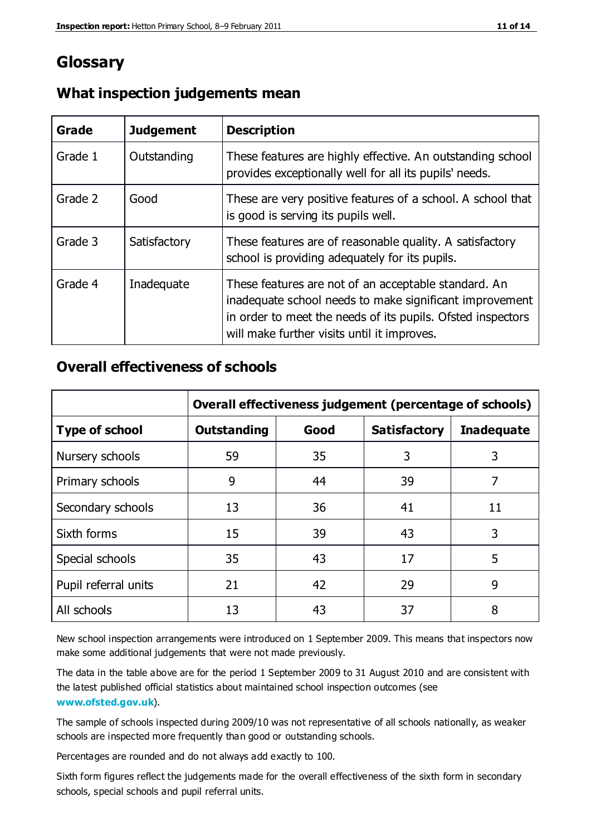## **Glossary**

| Grade   | <b>Judgement</b> | <b>Description</b>                                                                                                                                                                                                            |
|---------|------------------|-------------------------------------------------------------------------------------------------------------------------------------------------------------------------------------------------------------------------------|
| Grade 1 | Outstanding      | These features are highly effective. An outstanding school<br>provides exceptionally well for all its pupils' needs.                                                                                                          |
| Grade 2 | Good             | These are very positive features of a school. A school that<br>is good is serving its pupils well.                                                                                                                            |
| Grade 3 | Satisfactory     | These features are of reasonable quality. A satisfactory<br>school is providing adequately for its pupils.                                                                                                                    |
| Grade 4 | Inadequate       | These features are not of an acceptable standard. An<br>inadequate school needs to make significant improvement<br>in order to meet the needs of its pupils. Ofsted inspectors<br>will make further visits until it improves. |

#### **What inspection judgements mean**

#### **Overall effectiveness of schools**

|                       | Overall effectiveness judgement (percentage of schools) |      |                     |                   |
|-----------------------|---------------------------------------------------------|------|---------------------|-------------------|
| <b>Type of school</b> | <b>Outstanding</b>                                      | Good | <b>Satisfactory</b> | <b>Inadequate</b> |
| Nursery schools       | 59                                                      | 35   | 3                   | 3                 |
| Primary schools       | 9                                                       | 44   | 39                  | 7                 |
| Secondary schools     | 13                                                      | 36   | 41                  | 11                |
| Sixth forms           | 15                                                      | 39   | 43                  | 3                 |
| Special schools       | 35                                                      | 43   | 17                  | 5                 |
| Pupil referral units  | 21                                                      | 42   | 29                  | 9                 |
| All schools           | 13                                                      | 43   | 37                  | 8                 |

New school inspection arrangements were introduced on 1 September 2009. This means that inspectors now make some additional judgements that were not made previously.

The data in the table above are for the period 1 September 2009 to 31 August 2010 and are consistent with the latest published official statistics about maintained school inspection outcomes (see **[www.ofsted.gov.uk](http://www.ofsted.gov.uk/)**).

The sample of schools inspected during 2009/10 was not representative of all schools nationally, as weaker schools are inspected more frequently than good or outstanding schools.

Percentages are rounded and do not always add exactly to 100.

Sixth form figures reflect the judgements made for the overall effectiveness of the sixth form in secondary schools, special schools and pupil referral units.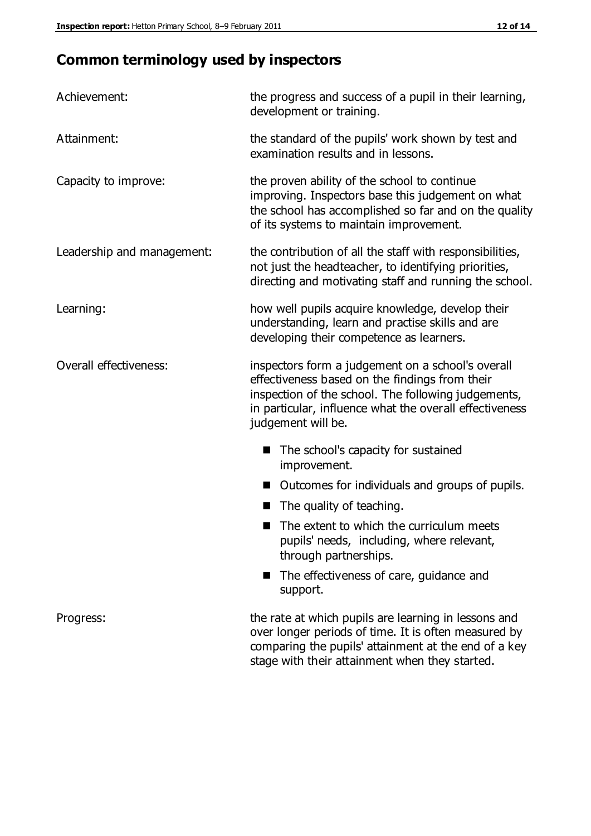## **Common terminology used by inspectors**

| Achievement:               | the progress and success of a pupil in their learning,<br>development or training.                                                                                                                                                          |  |  |
|----------------------------|---------------------------------------------------------------------------------------------------------------------------------------------------------------------------------------------------------------------------------------------|--|--|
| Attainment:                | the standard of the pupils' work shown by test and<br>examination results and in lessons.                                                                                                                                                   |  |  |
| Capacity to improve:       | the proven ability of the school to continue<br>improving. Inspectors base this judgement on what<br>the school has accomplished so far and on the quality<br>of its systems to maintain improvement.                                       |  |  |
| Leadership and management: | the contribution of all the staff with responsibilities,<br>not just the headteacher, to identifying priorities,<br>directing and motivating staff and running the school.                                                                  |  |  |
| Learning:                  | how well pupils acquire knowledge, develop their<br>understanding, learn and practise skills and are<br>developing their competence as learners.                                                                                            |  |  |
| Overall effectiveness:     | inspectors form a judgement on a school's overall<br>effectiveness based on the findings from their<br>inspection of the school. The following judgements,<br>in particular, influence what the overall effectiveness<br>judgement will be. |  |  |
|                            | The school's capacity for sustained<br>improvement.                                                                                                                                                                                         |  |  |
|                            | Outcomes for individuals and groups of pupils.                                                                                                                                                                                              |  |  |
|                            | The quality of teaching.                                                                                                                                                                                                                    |  |  |
|                            | The extent to which the curriculum meets<br>pupils' needs, including, where relevant,<br>through partnerships.                                                                                                                              |  |  |
|                            | The effectiveness of care, guidance and<br>support.                                                                                                                                                                                         |  |  |
| Progress:                  | the rate at which pupils are learning in lessons and<br>over longer periods of time. It is often measured by<br>comparing the pupils' attainment at the end of a key                                                                        |  |  |

stage with their attainment when they started.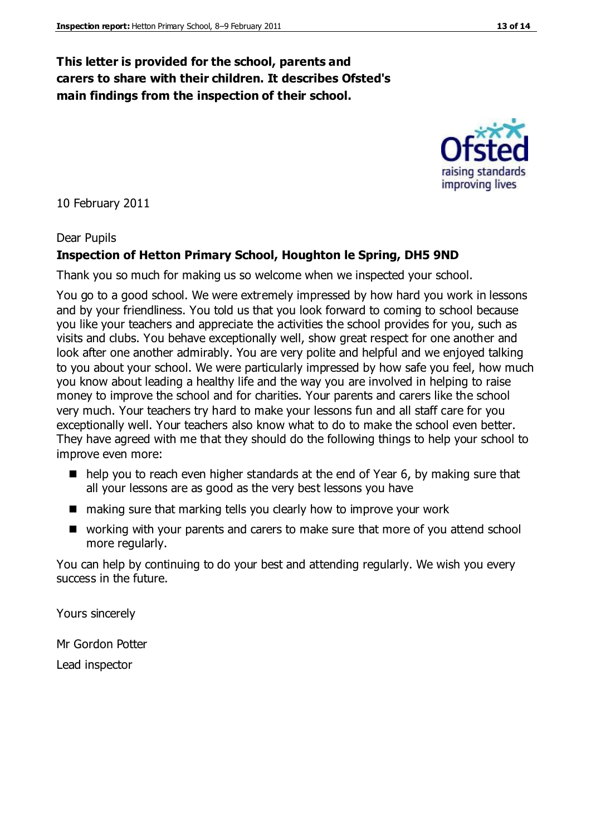#### **This letter is provided for the school, parents and carers to share with their children. It describes Ofsted's main findings from the inspection of their school.**

10 February 2011

#### Dear Pupils

#### **Inspection of Hetton Primary School, Houghton le Spring, DH5 9ND**

Thank you so much for making us so welcome when we inspected your school.

You go to a good school. We were extremely impressed by how hard you work in lessons and by your friendliness. You told us that you look forward to coming to school because you like your teachers and appreciate the activities the school provides for you, such as visits and clubs. You behave exceptionally well, show great respect for one another and look after one another admirably. You are very polite and helpful and we enjoyed talking to you about your school. We were particularly impressed by how safe you feel, how much you know about leading a healthy life and the way you are involved in helping to raise money to improve the school and for charities. Your parents and carers like the school very much. Your teachers try hard to make your lessons fun and all staff care for you exceptionally well. Your teachers also know what to do to make the school even better. They have agreed with me that they should do the following things to help your school to improve even more:

- $\blacksquare$  help you to reach even higher standards at the end of Year 6, by making sure that all your lessons are as good as the very best lessons you have
- making sure that marking tells you clearly how to improve your work
- working with your parents and carers to make sure that more of you attend school more regularly.

You can help by continuing to do your best and attending regularly. We wish you every success in the future.

Yours sincerely

Mr Gordon Potter Lead inspector